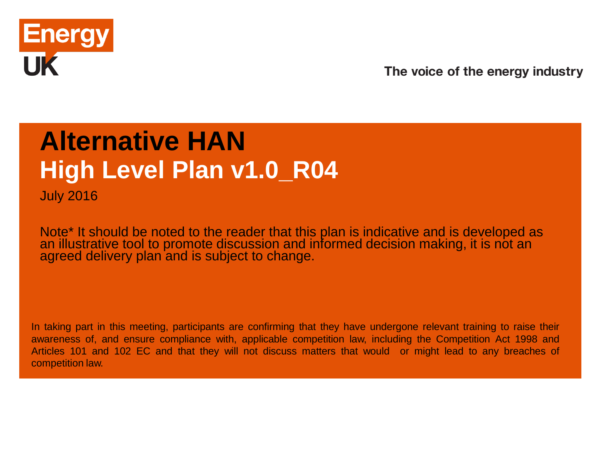

The voice of the energy industry

## **Alternative HAN High Level Plan v1.0\_R04**

July 2016

Note\* It should be noted to the reader that this plan is indicative and is developed as an illustrative tool to promote discussion and informed decision making, it is not an agreed delivery plan and is subject to change.

In taking part in this meeting, participants are confirming that they have undergone relevant training to raise their awareness of, and ensure compliance with, applicable competition law, including the Competition Act 1998 and Articles 101 and 102 EC and that they will not discuss matters that would or might lead to any breaches of competition law.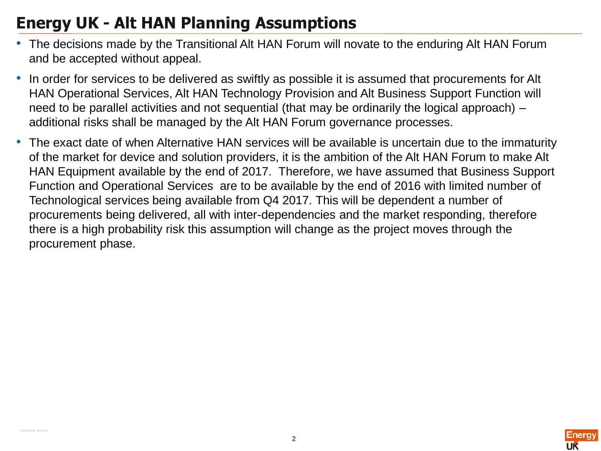## **Energy UK - Alt HAN Planning Assumptions**

- The decisions made by the Transitional Alt HAN Forum will novate to the enduring Alt HAN Forum and be accepted without appeal.
- In order for services to be delivered as swiftly as possible it is assumed that procurements for Alt HAN Operational Services, Alt HAN Technology Provision and Alt Business Support Function will need to be parallel activities and not sequential (that may be ordinarily the logical approach) – additional risks shall be managed by the Alt HAN Forum governance processes.
- The exact date of when Alternative HAN services will be available is uncertain due to the immaturity of the market for device and solution providers, it is the ambition of the Alt HAN Forum to make Alt HAN Equipment available by the end of 2017. Therefore, we have assumed that Business Support Function and Operational Services are to be available by the end of 2016 with limited number of Technological services being available from Q4 2017. This will be dependent a number of procurements being delivered, all with inter-dependencies and the market responding, therefore there is a high probability risk this assumption will change as the project moves through the procurement phase.

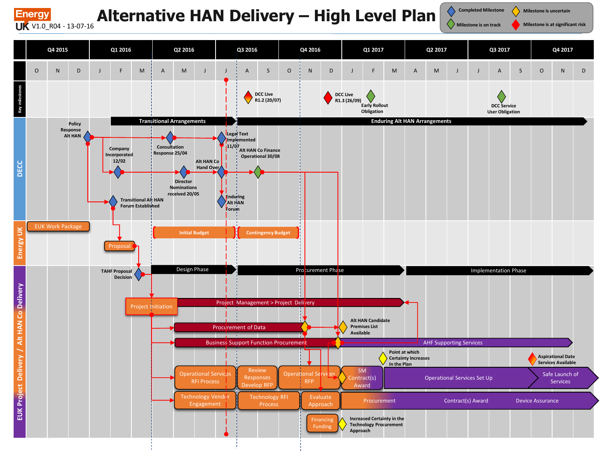

## **Alternative HAN Delivery – High Level Plan**

**Completed Milestone Milestone is on track Milestone is uncertain Milestone is at significant risk**

UK V1.0 R04 - 13-07-16